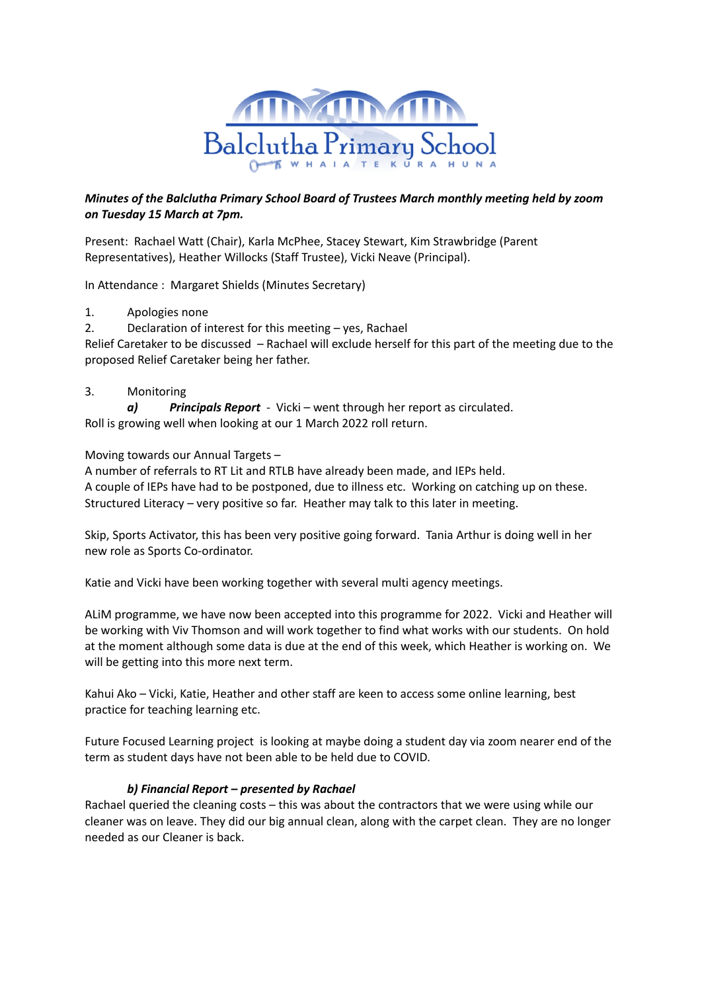

## *Minutes of the Balclutha Primary School Board of Trustees March monthly meeting held by zoom on Tuesday 15 March at 7pm.*

Present: Rachael Watt (Chair), Karla McPhee, Stacey Stewart, Kim Strawbridge (Parent Representatives), Heather Willocks (Staff Trustee), Vicki Neave (Principal).

In Attendance : Margaret Shields (Minutes Secretary)

- 1. Apologies none
- 2. Declaration of interest for this meeting yes, Rachael

Relief Caretaker to be discussed – Rachael will exclude herself for this part of the meeting due to the proposed Relief Caretaker being her father.

### 3. Monitoring

*a) [Principals](https://docs.google.com/document/d/1IjuK29hLShOfr7QTWZL8G5yYd-TiGG_YhHFNaIqeRYE/edit) Report* - Vicki – went through her report as circulated. Roll is growing well when looking at our 1 March 2022 roll return.

Moving towards our Annual Targets –

A number of referrals to RT Lit and RTLB have already been made, and IEPs held. A couple of IEPs have had to be postponed, due to illness etc. Working on catching up on these. Structured Literacy – very positive so far. Heather may talk to this later in meeting.

Skip, Sports Activator, this has been very positive going forward. Tania Arthur is doing well in her new role as Sports Co-ordinator.

Katie and Vicki have been working together with several multi agency meetings.

ALiM programme, we have now been accepted into this programme for 2022. Vicki and Heather will be working with Viv Thomson and will work together to find what works with our students. On hold at the moment although some data is due at the end of this week, which Heather is working on. We will be getting into this more next term.

Kahui Ako – Vicki, Katie, Heather and other staff are keen to access some online learning, best practice for teaching learning etc.

Future Focused Learning project is looking at maybe doing a student day via zoom nearer end of the term as student days have not been able to be held due to COVID.

### *b) Financial Report – presented by Rachael*

Rachael queried the cleaning costs – this was about the contractors that we were using while our cleaner was on leave. They did our big annual clean, along with the carpet clean. They are no longer needed as our Cleaner is back.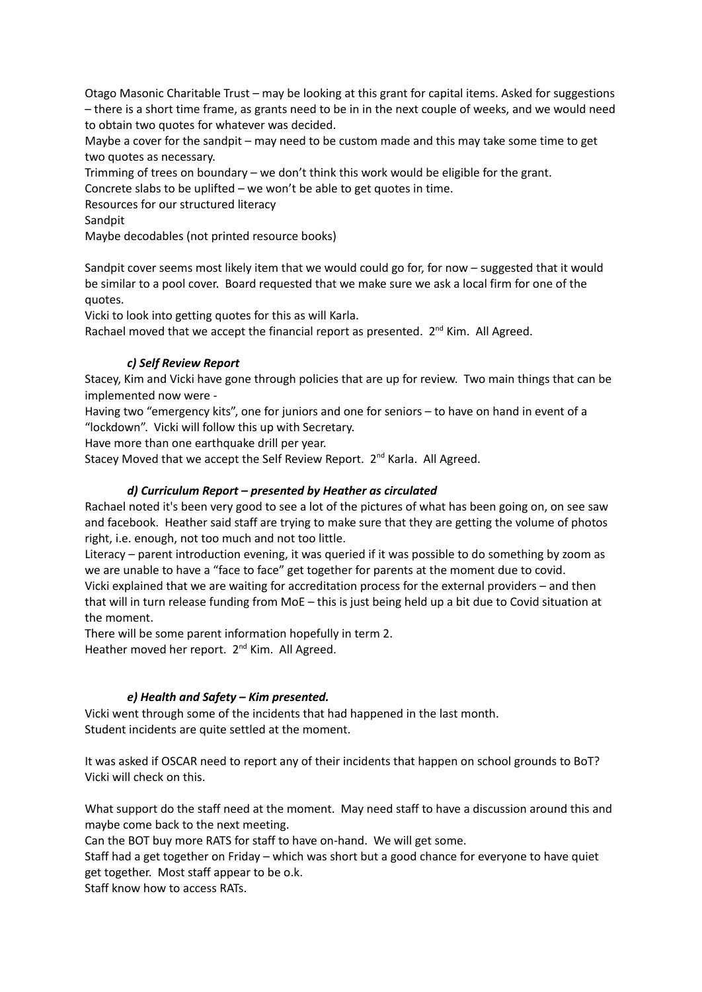Otago Masonic Charitable Trust – may be looking at this grant for capital items. Asked for suggestions – there is a short time frame, as grants need to be in in the next couple of weeks, and we would need to obtain two quotes for whatever was decided.

Maybe a cover for the sandpit – may need to be custom made and this may take some time to get two quotes as necessary.

Trimming of trees on boundary – we don't think this work would be eligible for the grant.

Concrete slabs to be uplifted – we won't be able to get quotes in time.

Resources for our structured literacy

Sandpit

Maybe decodables (not printed resource books)

Sandpit cover seems most likely item that we would could go for, for now – suggested that it would be similar to a pool cover. Board requested that we make sure we ask a local firm for one of the quotes.

Vicki to look into getting quotes for this as will Karla.

Rachael moved that we accept the financial report as presented. 2<sup>nd</sup> Kim. All Agreed.

# *c) Self Review Report*

Stacey, Kim and Vicki have gone through policies that are up for review. Two main things that can be implemented now were -

Having two "emergency kits", one for juniors and one for seniors – to have on hand in event of a "lockdown". Vicki will follow this up with Secretary.

Have more than one earthquake drill per year.

Stacey Moved that we accept the Self Review Report. 2<sup>nd</sup> Karla. All Agreed.

# *d) Curriculum Report – presented by Heather as circulated*

Rachael noted it's been very good to see a lot of the pictures of what has been going on, on see saw and facebook. Heather said staff are trying to make sure that they are getting the volume of photos right, i.e. enough, not too much and not too little.

Literacy – parent introduction evening, it was queried if it was possible to do something by zoom as we are unable to have a "face to face" get together for parents at the moment due to covid.

Vicki explained that we are waiting for accreditation process for the external providers – and then that will in turn release funding from MoE – this is just being held up a bit due to Covid situation at the moment.

There will be some parent information hopefully in term 2.

Heather moved her report. 2<sup>nd</sup> Kim. All Agreed.

# *e) Health and Safety – Kim presented.*

Vicki went through some of the incidents that had happened in the last month. Student incidents are quite settled at the moment.

It was asked if OSCAR need to report any of their incidents that happen on school grounds to BoT? Vicki will check on this.

What support do the staff need at the moment. May need staff to have a discussion around this and maybe come back to the next meeting.

Can the BOT buy more RATS for staff to have on-hand. We will get some.

Staff had a get together on Friday – which was short but a good chance for everyone to have quiet get together. Most staff appear to be o.k.

Staff know how to access RATs.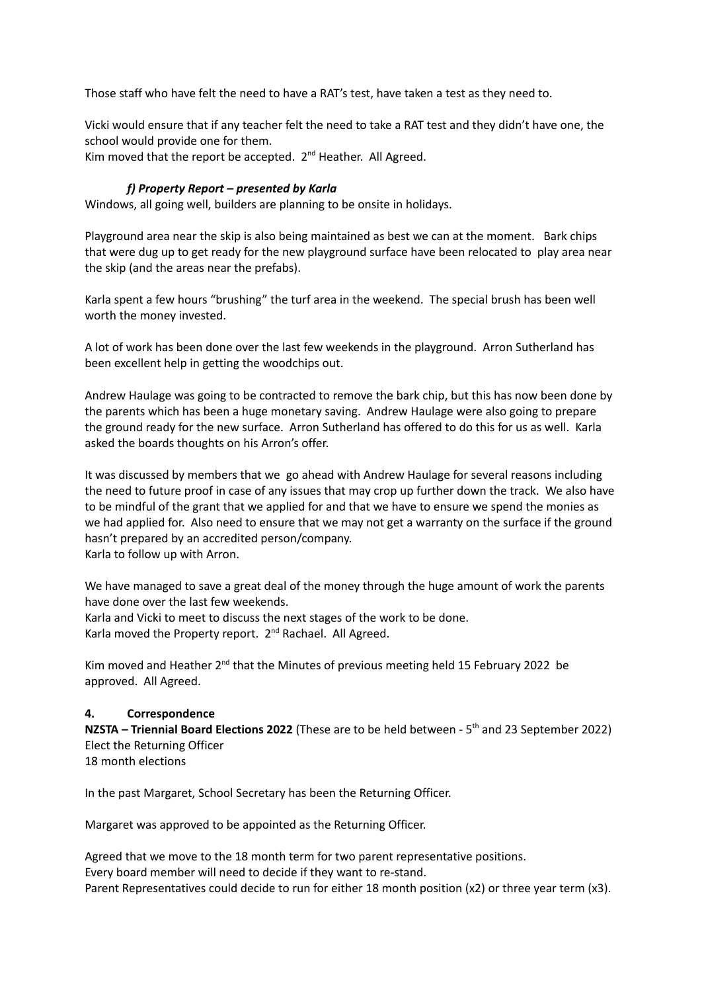Those staff who have felt the need to have a RAT's test, have taken a test as they need to.

Vicki would ensure that if any teacher felt the need to take a RAT test and they didn't have one, the school would provide one for them.

Kim moved that the report be accepted. 2<sup>nd</sup> Heather. All Agreed.

## *f) Property Report – presented by Karla*

Windows, all going well, builders are planning to be onsite in holidays.

Playground area near the skip is also being maintained as best we can at the moment. Bark chips that were dug up to get ready for the new playground surface have been relocated to play area near the skip (and the areas near the prefabs).

Karla spent a few hours "brushing" the turf area in the weekend. The special brush has been well worth the money invested.

A lot of work has been done over the last few weekends in the playground. Arron Sutherland has been excellent help in getting the woodchips out.

Andrew Haulage was going to be contracted to remove the bark chip, but this has now been done by the parents which has been a huge monetary saving. Andrew Haulage were also going to prepare the ground ready for the new surface. Arron Sutherland has offered to do this for us as well. Karla asked the boards thoughts on his Arron's offer.

It was discussed by members that we go ahead with Andrew Haulage for several reasons including the need to future proof in case of any issues that may crop up further down the track. We also have to be mindful of the grant that we applied for and that we have to ensure we spend the monies as we had applied for. Also need to ensure that we may not get a warranty on the surface if the ground hasn't prepared by an accredited person/company. Karla to follow up with Arron.

We have managed to save a great deal of the money through the huge amount of work the parents have done over the last few weekends.

Karla and Vicki to meet to discuss the next stages of the work to be done. Karla moved the Property report. 2<sup>nd</sup> Rachael. All Agreed.

Kim moved and Heather  $2^{nd}$  that the Minutes of previous meeting held 15 February 2022 be approved. All Agreed.

### **4. Correspondence**

**NZSTA – Triennial Board Elections 2022** (These are to be held between - 5 th and 23 September 2022) Elect the Returning Officer 18 month elections

In the past Margaret, School Secretary has been the Returning Officer.

Margaret was approved to be appointed as the Returning Officer.

Agreed that we move to the 18 month term for two parent representative positions. Every board member will need to decide if they want to re-stand. Parent Representatives could decide to run for either 18 month position (x2) or three year term (x3).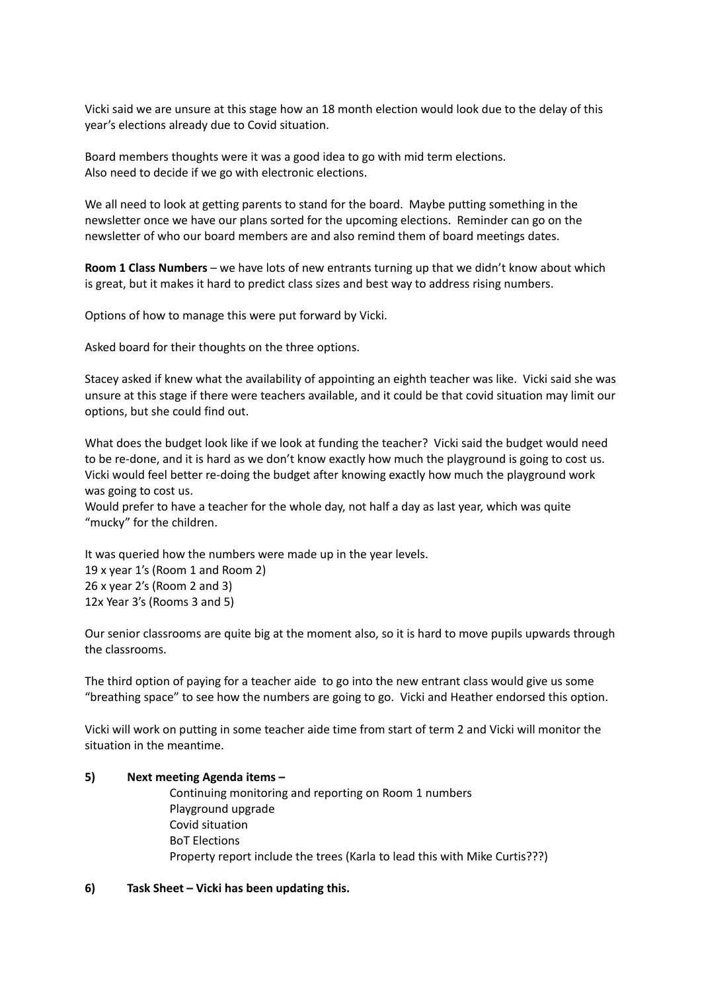Vicki said we are unsure at this stage how an 18 month election would look due to the delay of this year's elections already due to Covid situation.

Board members thoughts were it was a good idea to go with mid term elections. Also need to decide if we go with electronic elections.

We all need to look at getting parents to stand for the board. Maybe putting something in the newsletter once we have our plans sorted for the upcoming elections. Reminder can go on the newsletter of who our board members are and also remind them of board meetings dates.

**Room 1 Class Numbers** – we have lots of new entrants turning up that we didn't know about which is great, but it makes it hard to predict class sizes and best way to address rising numbers.

Options of how to manage this were put forward by Vicki.

Asked board for their thoughts on the three options.

Stacey asked if knew what the availability of appointing an eighth teacher was like. Vicki said she was unsure at this stage if there were teachers available, and it could be that covid situation may limit our options, but she could find out.

What does the budget look like if we look at funding the teacher? Vicki said the budget would need to be re-done, and it is hard as we don't know exactly how much the playground is going to cost us. Vicki would feel better re-doing the budget after knowing exactly how much the playground work was going to cost us.

Would prefer to have a teacher for the whole day, not half a day as last year, which was quite "mucky" for the children.

It was queried how the numbers were made up in the year levels. 19 x year 1's (Room 1 and Room 2) 26 x year 2's (Room 2 and 3) 12x Year 3's (Rooms 3 and 5)

Our senior classrooms are quite big at the moment also, so it is hard to move pupils upwards through the classrooms.

The third option of paying for a teacher aide to go into the new entrant class would give us some "breathing space" to see how the numbers are going to go. Vicki and Heather endorsed this option.

Vicki will work on putting in some teacher aide time from start of term 2 and Vicki will monitor the situation in the meantime.

#### **5) Next meeting Agenda items –**

Continuing monitoring and reporting on Room 1 numbers Playground upgrade Covid situation BoT Elections Property report include the trees (Karla to lead this with Mike Curtis???)

#### **6) Task Sheet – Vicki has been updating this.**